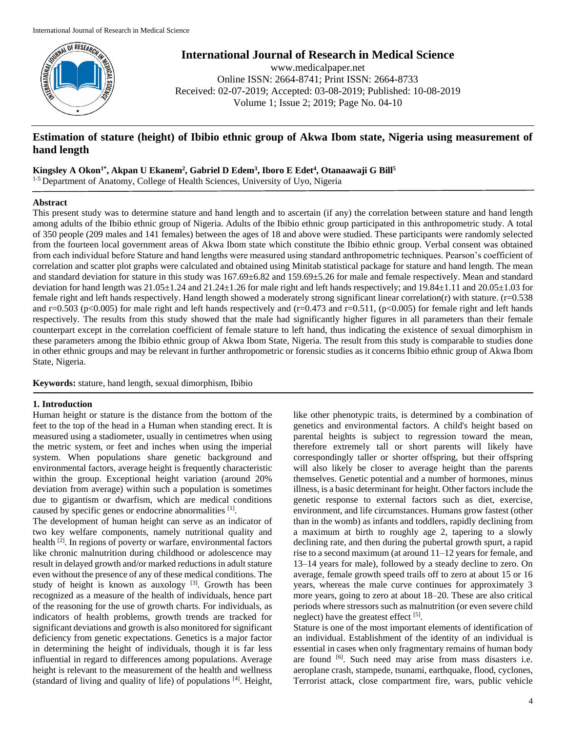

**International Journal of Research in Medical Science**

www.medicalpaper.net Online ISSN: 2664-8741; Print ISSN: 2664-8733 Received: 02-07-2019; Accepted: 03-08-2019; Published: 10-08-2019 Volume 1; Issue 2; 2019; Page No. 04-10

# **Estimation of stature (height) of Ibibio ethnic group of Akwa Ibom state, Nigeria using measurement of hand length**

**Kingsley A Okon1\* , Akpan U Ekanem<sup>2</sup> , Gabriel D Edem<sup>3</sup> , Iboro E Edet<sup>4</sup> , Otanaawaji G Bill<sup>5</sup>**

<sup>1-5</sup> Department of Anatomy, College of Health Sciences, University of Uyo, Nigeria

## **Abstract**

This present study was to determine stature and hand length and to ascertain (if any) the correlation between stature and hand length among adults of the Ibibio ethnic group of Nigeria. Adults of the Ibibio ethnic group participated in this anthropometric study. A total of 350 people (209 males and 141 females) between the ages of 18 and above were studied. These participants were randomly selected from the fourteen local government areas of Akwa Ibom state which constitute the Ibibio ethnic group. Verbal consent was obtained from each individual before Stature and hand lengths were measured using standard anthropometric techniques. Pearson's coefficient of correlation and scatter plot graphs were calculated and obtained using Minitab statistical package for stature and hand length. The mean and standard deviation for stature in this study was 167.69±6.82 and 159.69±5.26 for male and female respectively. Mean and standard deviation for hand length was 21.05±1.24 and 21.24±1.26 for male right and left hands respectively; and 19.84±1.11 and 20.05±1.03 for female right and left hands respectively. Hand length showed a moderately strong significant linear correlation(r) with stature.  $(r=0.538$ and r=0.503 (p<0.005) for male right and left hands respectively and  $(r=0.473$  and  $r=0.511$ , (p<0.005) for female right and left hands respectively. The results from this study showed that the male had significantly higher figures in all parameters than their female counterpart except in the correlation coefficient of female stature to left hand, thus indicating the existence of sexual dimorphism in these parameters among the Ibibio ethnic group of Akwa Ibom State, Nigeria. The result from this study is comparable to studies done in other ethnic groups and may be relevant in further anthropometric or forensic studies as it concerns Ibibio ethnic group of Akwa Ibom State, Nigeria.

**Keywords:** stature, hand length, sexual dimorphism, Ibibio

## **1. Introduction**

Human height or stature is the distance from the bottom of the feet to the top of the head in a Human when standing erect. It is measured using a stadiometer, usually in centimetres when using the metric system, or feet and inches when using the imperial system. When populations share genetic background and environmental factors, average height is frequently characteristic within the group. Exceptional height variation (around 20% deviation from average) within such a population is sometimes due to gigantism or dwarfism, which are medical conditions caused by specific genes or endocrine abnormalities [1].

The development of human height can serve as an indicator of two key welfare components, namely nutritional quality and health [2]. In regions of poverty or warfare, environmental factors like chronic malnutrition during childhood or adolescence may result in delayed growth and/or marked reductions in adult stature even without the presence of any of these medical conditions. The study of height is known as auxology  $[3]$ . Growth has been recognized as a measure of the health of individuals, hence part of the reasoning for the use of growth charts. For individuals, as indicators of health problems, growth trends are tracked for significant deviations and growth is also monitored for significant deficiency from genetic expectations. Genetics is a major factor in determining the height of individuals, though it is far less influential in regard to differences among populations. Average height is relevant to the measurement of the health and wellness (standard of living and quality of life) of populations [4]. Height,

like other phenotypic traits, is determined by a combination of genetics and environmental factors. A child's height based on parental heights is subject to regression toward the mean, therefore extremely tall or short parents will likely have correspondingly taller or shorter offspring, but their offspring will also likely be closer to average height than the parents themselves. Genetic potential and a number of hormones, minus illness, is a basic determinant for height. Other factors include the genetic response to external factors such as diet, exercise, environment, and life circumstances. Humans grow fastest (other than in the womb) as infants and toddlers, rapidly declining from a maximum at birth to roughly age 2, tapering to a slowly declining rate, and then during the pubertal growth spurt, a rapid rise to a second maximum (at around 11–12 years for female, and 13–14 years for male), followed by a steady decline to zero. On average, female growth speed trails off to zero at about 15 or 16 years, whereas the male curve continues for approximately 3 more years, going to zero at about 18–20. These are also critical periods where stressors such as malnutrition (or even severe child neglect) have the greatest effect [5].

Stature is one of the most important elements of identification of an individual. Establishment of the identity of an individual is essential in cases when only fragmentary remains of human body are found <sup>[6]</sup>. Such need may arise from mass disasters i.e. aeroplane crash, stampede, tsunami, earthquake, flood, cyclones, Terrorist attack, close compartment fire, wars, public vehicle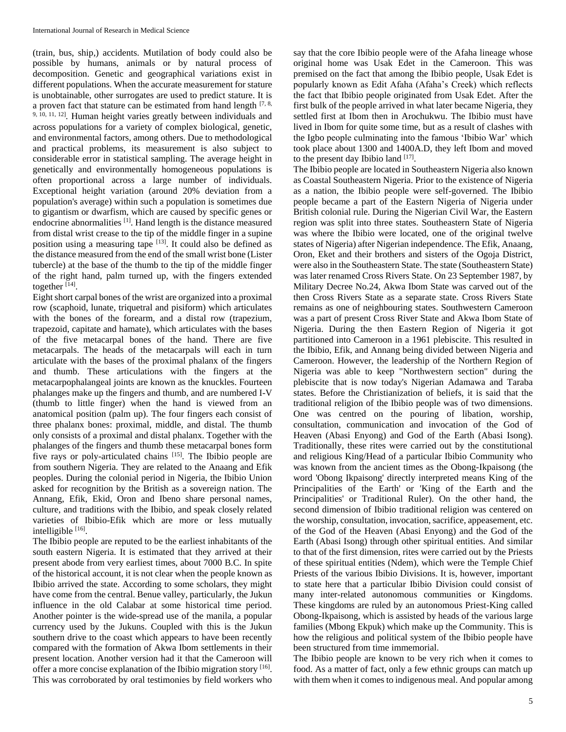(train, bus, ship,) accidents. Mutilation of body could also be possible by humans, animals or by natural process of decomposition. Genetic and geographical variations exist in different populations. When the accurate measurement for stature is unobtainable, other surrogates are used to predict stature. It is a proven fact that stature can be estimated from hand length  $[7, 8, 8]$ <sup>9, 10, 11, 12]. Human height varies greatly between individuals and</sup> across populations for a variety of complex biological, genetic, and environmental factors, among others. Due to methodological and practical problems, its measurement is also subject to considerable error in statistical sampling. The average height in genetically and environmentally homogeneous populations is often proportional across a large number of individuals. Exceptional height variation (around 20% deviation from a population's average) within such a population is sometimes due to gigantism or dwarfism, which are caused by specific genes or endocrine abnormalities<sup>[1]</sup>. Hand length is the distance measured from distal wrist crease to the tip of the middle finger in a supine position using a measuring tape  $[13]$ . It could also be defined as the distance measured from the end of the small wrist bone (Lister tubercle) at the base of the thumb to the tip of the middle finger of the right hand, palm turned up, with the fingers extended together<sup>[14]</sup>.

Eight short carpal bones of the wrist are organized into a proximal row (scaphoid, lunate, triquetral and pisiform) which articulates with the bones of the forearm, and a distal row (trapezium, trapezoid, capitate and hamate), which articulates with the bases of the five metacarpal bones of the hand. There are five metacarpals. The heads of the metacarpals will each in turn articulate with the bases of the proximal phalanx of the fingers and thumb. These articulations with the fingers at the metacarpophalangeal joints are known as the knuckles. Fourteen phalanges make up the fingers and thumb, and are numbered I-V (thumb to little finger) when the hand is viewed from an anatomical position (palm up). The four fingers each consist of three phalanx bones: proximal, middle, and distal. The thumb only consists of a proximal and distal phalanx. Together with the phalanges of the fingers and thumb these metacarpal bones form five rays or poly-articulated chains [15]. The Ibibio people are from southern Nigeria. They are related to the Anaang and Efik peoples. During the colonial period in Nigeria, the Ibibio Union asked for recognition by the British as a sovereign nation. The Annang, Efik, Ekid, Oron and Ibeno share personal names, culture, and traditions with the Ibibio, and speak closely related varieties of Ibibio-Efik which are more or less mutually intelligible [16].

The Ibibio people are reputed to be the earliest inhabitants of the south eastern Nigeria. It is estimated that they arrived at their present abode from very earliest times, about 7000 B.C. In spite of the historical account, it is not clear when the people known as Ibibio arrived the state. According to some scholars, they might have come from the central. Benue valley, particularly, the Jukun influence in the old Calabar at some historical time period. Another pointer is the wide-spread use of the manila, a popular currency used by the Jukuns. Coupled with this is the Jukun southern drive to the coast which appears to have been recently compared with the formation of Akwa Ibom settlements in their present location. Another version had it that the Cameroon will offer a more concise explanation of the Ibibio migration story [16]. This was corroborated by oral testimonies by field workers who

say that the core Ibibio people were of the Afaha lineage whose original home was Usak Edet in the Cameroon. This was premised on the fact that among the Ibibio people, Usak Edet is popularly known as Edit Afaha (Afaha's Creek) which reflects the fact that Ibibio people originated from Usak Edet. After the first bulk of the people arrived in what later became Nigeria, they settled first at Ibom then in Arochukwu. The Ibibio must have lived in Ibom for quite some time, but as a result of clashes with the Igbo people culminating into the famous 'Ibibio War' which took place about 1300 and 1400A.D, they left Ibom and moved to the present day Ibibio land [17].

The Ibibio people are located in Southeastern Nigeria also known as Coastal Southeastern Nigeria. Prior to the existence of Nigeria as a nation, the Ibibio people were self-governed. The Ibibio people became a part of the Eastern Nigeria of Nigeria under British colonial rule. During the Nigerian Civil War, the Eastern region was split into three states. Southeastern State of Nigeria was where the Ibibio were located, one of the original twelve states of Nigeria) after Nigerian independence. The Efik, Anaang, Oron, Eket and their brothers and sisters of the Ogoja District, were also in the Southeastern State. The state (Southeastern State) was later renamed Cross Rivers State. On 23 September 1987, by Military Decree No.24, Akwa Ibom State was carved out of the then Cross Rivers State as a separate state. Cross Rivers State remains as one of neighbouring states. Southwestern Cameroon was a part of present Cross River State and Akwa Ibom State of Nigeria. During the then Eastern Region of Nigeria it got partitioned into Cameroon in a 1961 plebiscite. This resulted in the Ibibio, Efik, and Annang being divided between Nigeria and Cameroon. However, the leadership of the Northern Region of Nigeria was able to keep "Northwestern section" during the plebiscite that is now today's Nigerian Adamawa and Taraba states. Before the Christianization of beliefs, it is said that the traditional religion of the Ibibio people was of two dimensions. One was centred on the pouring of libation, worship, consultation, communication and invocation of the God of Heaven (Abasi Enyong) and God of the Earth (Abasi Isong). Traditionally, these rites were carried out by the constitutional and religious King/Head of a particular Ibibio Community who was known from the ancient times as the Obong-Ikpaisong (the word 'Obong Ikpaisong' directly interpreted means King of the Principalities of the Earth' or 'King of the Earth and the Principalities' or Traditional Ruler). On the other hand, the second dimension of Ibibio traditional religion was centered on the worship, consultation, invocation, sacrifice, appeasement, etc. of the God of the Heaven (Abasi Enyong) and the God of the Earth (Abasi Isong) through other spiritual entities. And similar to that of the first dimension, rites were carried out by the Priests of these spiritual entities (Ndem), which were the Temple Chief Priests of the various Ibibio Divisions. It is, however, important to state here that a particular Ibibio Division could consist of many inter-related autonomous communities or Kingdoms. These kingdoms are ruled by an autonomous Priest-King called Obong-Ikpaisong, which is assisted by heads of the various large families (Mbong Ekpuk) which make up the Community. This is how the religious and political system of the Ibibio people have been structured from time immemorial.

The Ibibio people are known to be very rich when it comes to food. As a matter of fact, only a few ethnic groups can match up with them when it comes to indigenous meal. And popular among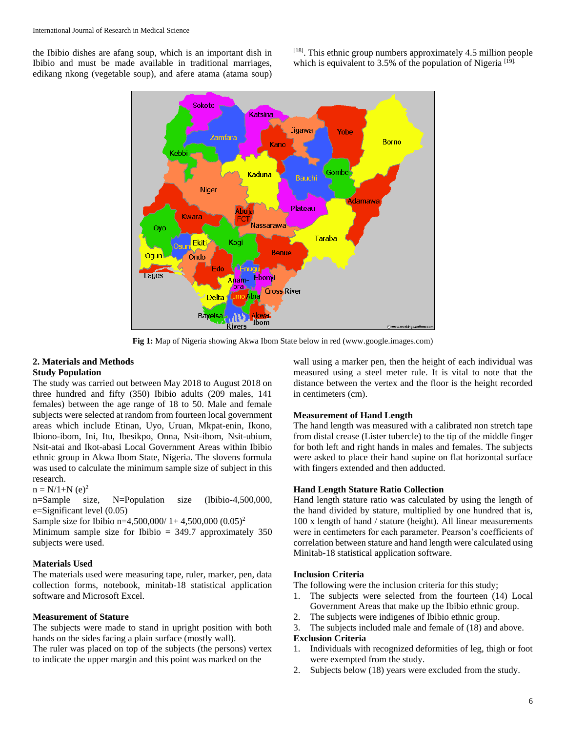the Ibibio dishes are afang soup, which is an important dish in Ibibio and must be made available in traditional marriages, edikang nkong (vegetable soup), and afere atama (atama soup)

 $[18]$ . This ethnic group numbers approximately 4.5 million people which is equivalent to  $3.5\%$  of the population of Nigeria  $[19]$ .



**Fig 1:** Map of Nigeria showing Akwa Ibom State below in red (www.google.images.com)

## **2. Materials and Methods Study Population**

The study was carried out between May 2018 to August 2018 on three hundred and fifty (350) Ibibio adults (209 males, 141 females) between the age range of 18 to 50. Male and female subjects were selected at random from fourteen local government areas which include Etinan, Uyo, Uruan, Mkpat-enin, Ikono, Ibiono-ibom, Ini, Itu, Ibesikpo, Onna, Nsit-ibom, Nsit-ubium, Nsit-atai and Ikot-abasi Local Government Areas within Ibibio ethnic group in Akwa Ibom State, Nigeria. The slovens formula was used to calculate the minimum sample size of subject in this research.

 $n = N/1+N$  (e)<sup>2</sup>

n=Sample size, N=Population size (Ibibio-4,500,000, e=Significant level (0.05)

Sample size for Ibibio n=4,500,000/ 1+ 4,500,000 (0.05)<sup>2</sup>

Minimum sample size for Ibibio  $= 349.7$  approximately 350 subjects were used.

## **Materials Used**

The materials used were measuring tape, ruler, marker, pen, data collection forms, notebook, minitab-18 statistical application software and Microsoft Excel.

#### **Measurement of Stature**

The subjects were made to stand in upright position with both hands on the sides facing a plain surface (mostly wall). The ruler was placed on top of the subjects (the persons) vertex to indicate the upper margin and this point was marked on the

wall using a marker pen, then the height of each individual was measured using a steel meter rule. It is vital to note that the distance between the vertex and the floor is the height recorded in centimeters (cm).

#### **Measurement of Hand Length**

The hand length was measured with a calibrated non stretch tape from distal crease (Lister tubercle) to the tip of the middle finger for both left and right hands in males and females. The subjects were asked to place their hand supine on flat horizontal surface with fingers extended and then adducted.

### **Hand Length Stature Ratio Collection**

Hand length stature ratio was calculated by using the length of the hand divided by stature, multiplied by one hundred that is, 100 x length of hand / stature (height). All linear measurements were in centimeters for each parameter. Pearson's coefficients of correlation between stature and hand length were calculated using Minitab-18 statistical application software.

### **Inclusion Criteria**

The following were the inclusion criteria for this study;

- 1. The subjects were selected from the fourteen (14) Local Government Areas that make up the Ibibio ethnic group.
- 2. The subjects were indigenes of Ibibio ethnic group.
- 3. The subjects included male and female of (18) and above.

## **Exclusion Criteria**

- 1. Individuals with recognized deformities of leg, thigh or foot were exempted from the study.
- 2. Subjects below (18) years were excluded from the study.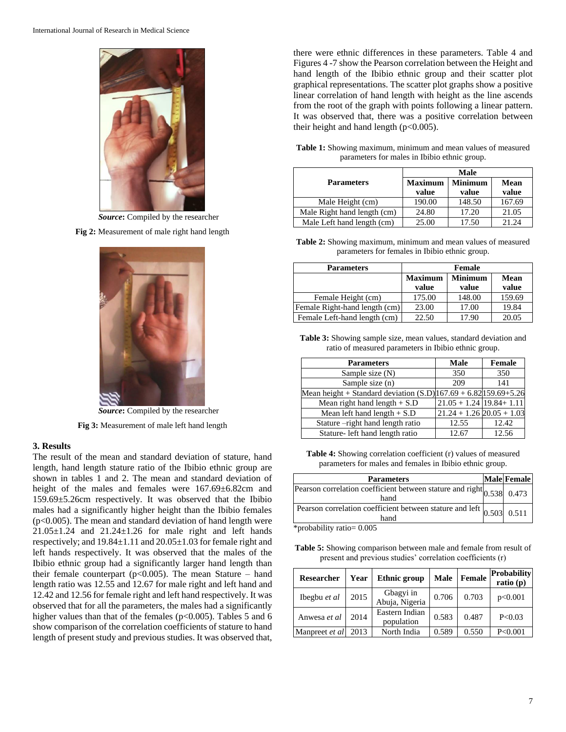

*Source***:** Compiled by the researcher

**Fig 2:** Measurement of male right hand length



*Source***:** Compiled by the researcher

**Fig 3:** Measurement of male left hand length

#### **3. Results**

The result of the mean and standard deviation of stature, hand length, hand length stature ratio of the Ibibio ethnic group are shown in tables 1 and 2. The mean and standard deviation of height of the males and females were  $167.69 \pm 6.82$ cm and 159.69±5.26cm respectively. It was observed that the Ibibio males had a significantly higher height than the Ibibio females (p<0.005). The mean and standard deviation of hand length were  $21.05\pm1.24$  and  $21.24\pm1.26$  for male right and left hands respectively; and 19.84±1.11 and 20.05±1.03 for female right and left hands respectively. It was observed that the males of the Ibibio ethnic group had a significantly larger hand length than their female counterpart ( $p<0.005$ ). The mean Stature – hand length ratio was 12.55 and 12.67 for male right and left hand and 12.42 and 12.56 for female right and left hand respectively. It was observed that for all the parameters, the males had a significantly higher values than that of the females (p<0.005). Tables 5 and 6 show comparison of the correlation coefficients of stature to hand length of present study and previous studies. It was observed that,

there were ethnic differences in these parameters. Table 4 and Figures 4 -7 show the Pearson correlation between the Height and hand length of the Ibibio ethnic group and their scatter plot graphical representations. The scatter plot graphs show a positive linear correlation of hand length with height as the line ascends from the root of the graph with points following a linear pattern. It was observed that, there was a positive correlation between their height and hand length  $(p<0.005)$ .

| Table 1: Showing maximum, minimum and mean values of measured |                                              |  |  |
|---------------------------------------------------------------|----------------------------------------------|--|--|
|                                                               | parameters for males in Ibibio ethnic group. |  |  |

|                             | Male           |                |        |  |  |  |
|-----------------------------|----------------|----------------|--------|--|--|--|
| <b>Parameters</b>           | <b>Maximum</b> | <b>Minimum</b> | Mean   |  |  |  |
|                             | value          | value          | value  |  |  |  |
| Male Height (cm)            | 190.00         | 148.50         | 167.69 |  |  |  |
| Male Right hand length (cm) | 24.80          | 17.20          | 21.05  |  |  |  |
| Male Left hand length (cm)  | 25.00          | 17.50          | 21.24  |  |  |  |

**Table 2:** Showing maximum, minimum and mean values of measured parameters for females in Ibibio ethnic group.

| <b>Parameters</b>             | <b>Female</b>  |                |        |  |  |
|-------------------------------|----------------|----------------|--------|--|--|
|                               | <b>Maximum</b> | <b>Minimum</b> | Mean   |  |  |
|                               | value          | value          | value  |  |  |
| Female Height (cm)            | 175.00         | 148.00         | 159.69 |  |  |
| Female Right-hand length (cm) | 23.00          | 17.00          | 19.84  |  |  |
| Female Left-hand length (cm)  | 22.50          | 17.90          | 20.05  |  |  |

**Table 3:** Showing sample size, mean values, standard deviation and ratio of measured parameters in Ibibio ethnic group.

| <b>Parameters</b>                                                  | <b>Male</b>                   | <b>Female</b> |
|--------------------------------------------------------------------|-------------------------------|---------------|
| Sample size $(N)$                                                  | 350                           | 350           |
| Sample size (n)                                                    | 209                           | 141           |
| Mean height + Standard deviation $(S.D) 167.69 + 6.82 159.69+5.26$ |                               |               |
| Mean right hand length $+ S.D$                                     | $21.05 + 1.24$ 19.84 + 1.11   |               |
| Mean left hand length $+$ S.D                                      | $21.24 + 1.26$ $20.05 + 1.03$ |               |
| Stature -right hand length ratio                                   | 12.55                         | 12.42         |
| Stature- left hand length ratio                                    | 12.67                         | 12.56         |

**Table 4:** Showing correlation coefficient (r) values of measured parameters for males and females in Ibibio ethnic group.

| <b>Parameters</b>                                                                                               | Male Female |
|-----------------------------------------------------------------------------------------------------------------|-------------|
| Pearson correlation coefficient between stature and right $\begin{vmatrix} 0.538 & 0.473 \end{vmatrix}$<br>hand |             |
| Pearson correlation coefficient between stature and left $\vert_{0.503}\vert$ 0.511<br>hand                     |             |

\*probability ratio= 0.005

**Table 5:** Showing comparison between male and female from result of present and previous studies' correlation coefficients (r)

| <b>Researcher</b> | Year | Ethnic group                 | <b>Male</b> | Female | Probability<br>ratio $(p)$ |
|-------------------|------|------------------------------|-------------|--------|----------------------------|
| Ibegbu et al      | 2015 | Gbagyi in<br>Abuja, Nigeria  | 0.706       | 0.703  | p<0.001                    |
| Anwesa et al      | 2014 | Eastern Indian<br>population | 0.583       | 0.487  | P<0.03                     |
| Manpreet et al    | 2013 | North India                  | 0.589       | 0.550  | P<0.001                    |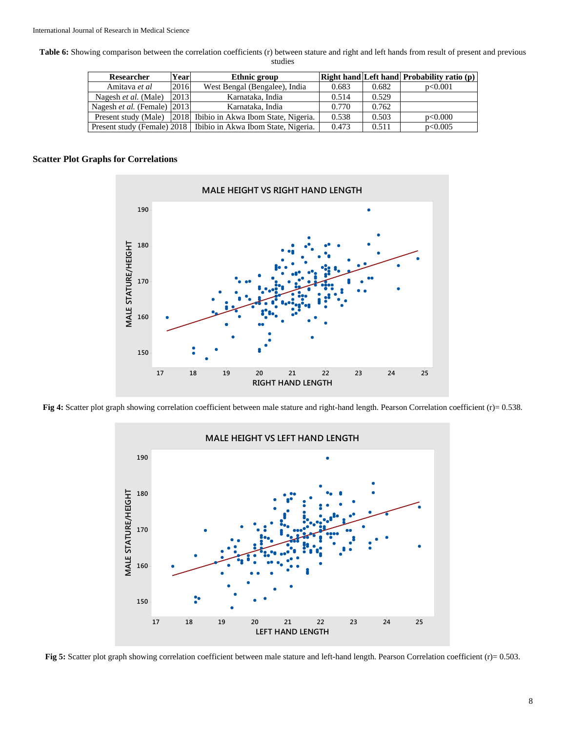**Table 6:** Showing comparison between the correlation coefficients (r) between stature and right and left hands from result of present and previous studies

| Researcher                             | Year | Ethnic group                                                      |       |       | Right hand Left hand Probability ratio (p) |
|----------------------------------------|------|-------------------------------------------------------------------|-------|-------|--------------------------------------------|
| Amitava et al                          | 2016 | West Bengal (Bengalee), India                                     | 0.683 | 0.682 | p<0.001                                    |
| Nagesh et al. (Male)                   | 2013 | Karnataka, India                                                  | 0.514 | 0.529 |                                            |
| Nagesh <i>et al.</i> (Female) $ 2013 $ |      | Karnataka, India                                                  | 0.770 | 0.762 |                                            |
|                                        |      | Present study (Male) [2018] Ibibio in Akwa Ibom State, Nigeria.   | 0.538 | 0.503 | p<0.000                                    |
|                                        |      | Present study (Female) 2018   Ibibio in Akwa Ibom State, Nigeria. | 0.473 | 0.511 | p<0.005                                    |

### **Scatter Plot Graphs for Correlations**



**Fig 4:** Scatter plot graph showing correlation coefficient between male stature and right-hand length. Pearson Correlation coefficient (r)= 0.538.



**Fig 5:** Scatter plot graph showing correlation coefficient between male stature and left-hand length. Pearson Correlation coefficient (r)= 0.503.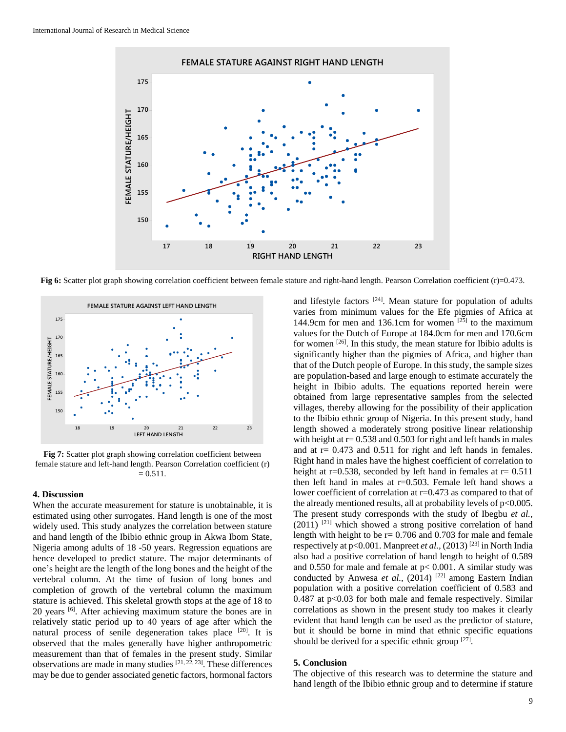

**Fig 6:** Scatter plot graph showing correlation coefficient between female stature and right-hand length. Pearson Correlation coefficient (r)=0.473.



**Fig 7:** Scatter plot graph showing correlation coefficient between female stature and left-hand length. Pearson Correlation coefficient (r)  $= 0.511.$ 

#### **4. Discussion**

When the accurate measurement for stature is unobtainable, it is estimated using other surrogates. Hand length is one of the most widely used. This study analyzes the correlation between stature and hand length of the Ibibio ethnic group in Akwa Ibom State, Nigeria among adults of 18 -50 years. Regression equations are hence developed to predict stature. The major determinants of one's height are the length of the long bones and the height of the vertebral column. At the time of fusion of long bones and completion of growth of the vertebral column the maximum stature is achieved. This skeletal growth stops at the age of 18 to 20 years [6]. After achieving maximum stature the bones are in relatively static period up to 40 years of age after which the natural process of senile degeneration takes place [20]. It is observed that the males generally have higher anthropometric measurement than that of females in the present study. Similar observations are made in many studies  $[21, 22, 23]$ . These differences may be due to gender associated genetic factors, hormonal factors

and lifestyle factors  $[24]$ . Mean stature for population of adults varies from minimum values for the Efe pigmies of Africa at 144.9cm for men and 136.1cm for women  $[25]$  to the maximum values for the Dutch of Europe at 184.0cm for men and 170.6cm for women  $[26]$ . In this study, the mean stature for Ibibio adults is significantly higher than the pigmies of Africa, and higher than that of the Dutch people of Europe. In this study, the sample sizes are population-based and large enough to estimate accurately the height in Ibibio adults. The equations reported herein were obtained from large representative samples from the selected villages, thereby allowing for the possibility of their application to the Ibibio ethnic group of Nigeria. In this present study, hand length showed a moderately strong positive linear relationship with height at  $r = 0.538$  and 0.503 for right and left hands in males and at  $r = 0.473$  and  $0.511$  for right and left hands in females. Right hand in males have the highest coefficient of correlation to height at r=0.538, seconded by left hand in females at  $r= 0.511$ then left hand in males at  $r=0.503$ . Female left hand shows a lower coefficient of correlation at r=0.473 as compared to that of the already mentioned results, all at probability levels of  $p<0.005$ . The present study corresponds with the study of Ibegbu *et al.,*   $(2011)$ <sup>[21]</sup> which showed a strong positive correlation of hand length with height to be  $r = 0.706$  and 0.703 for male and female respectively at p<0.001. Manpreet *et al.*,  $(2013)$ <sup>[23]</sup> in North India also had a positive correlation of hand length to height of 0.589 and 0.550 for male and female at p< 0.001. A similar study was conducted by Anwesa *et al.*,  $(2014)$ <sup>[22]</sup> among Eastern Indian population with a positive correlation coefficient of 0.583 and 0.487 at p<0.03 for both male and female respectively. Similar correlations as shown in the present study too makes it clearly evident that hand length can be used as the predictor of stature, but it should be borne in mind that ethnic specific equations should be derived for a specific ethnic group  $[27]$ .

## **5. Conclusion**

The objective of this research was to determine the stature and hand length of the Ibibio ethnic group and to determine if stature